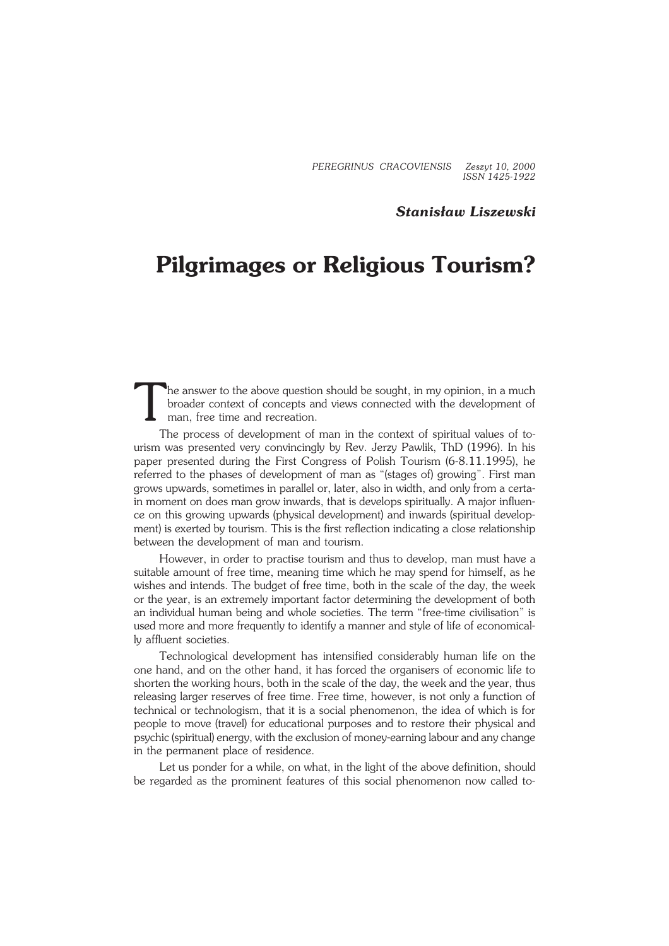*PEREGRINUS CRACOVIENSIS Zeszyt 10, 2000 ISSN 1425−1922*

## *Stanisław Liszewski*

## **Pilgrimages or Religious Tourism?**

T he answer to the above question should be sought, in my opinion, in a much broader context of concepts and views connected with the development of man, free time and recreation.

The process of development of man in the context of spiritual values of to− urism was presented very convincingly by Rev. Jerzy Pawlik, ThD (1996). In his paper presented during the First Congress of Polish Tourism (6−8.11.1995), he referred to the phases of development of man as "(stages of) growing". First man grows upwards, sometimes in parallel or, later, also in width, and only from a certa− in moment on does man grow inwards, that is develops spiritually. A major influen− ce on this growing upwards (physical development) and inwards (spiritual develop− ment) is exerted by tourism. This is the first reflection indicating a close relationship between the development of man and tourism.

However, in order to practise tourism and thus to develop, man must have a suitable amount of free time, meaning time which he may spend for himself, as he wishes and intends. The budget of free time, both in the scale of the day, the week or the year, is an extremely important factor determining the development of both an individual human being and whole societies. The term "free−time civilisation" is used more and more frequently to identify a manner and style of life of economical− ly affluent societies.

Technological development has intensified considerably human life on the one hand, and on the other hand, it has forced the organisers of economic life to shorten the working hours, both in the scale of the day, the week and the year, thus releasing larger reserves of free time. Free time, however, is not only a function of technical or technologism, that it is a social phenomenon, the idea of which is for people to move (travel) for educational purposes and to restore their physical and psychic (spiritual) energy, with the exclusion of money−earning labour and any change in the permanent place of residence.

Let us ponder for a while, on what, in the light of the above definition, should be regarded as the prominent features of this social phenomenon now called to−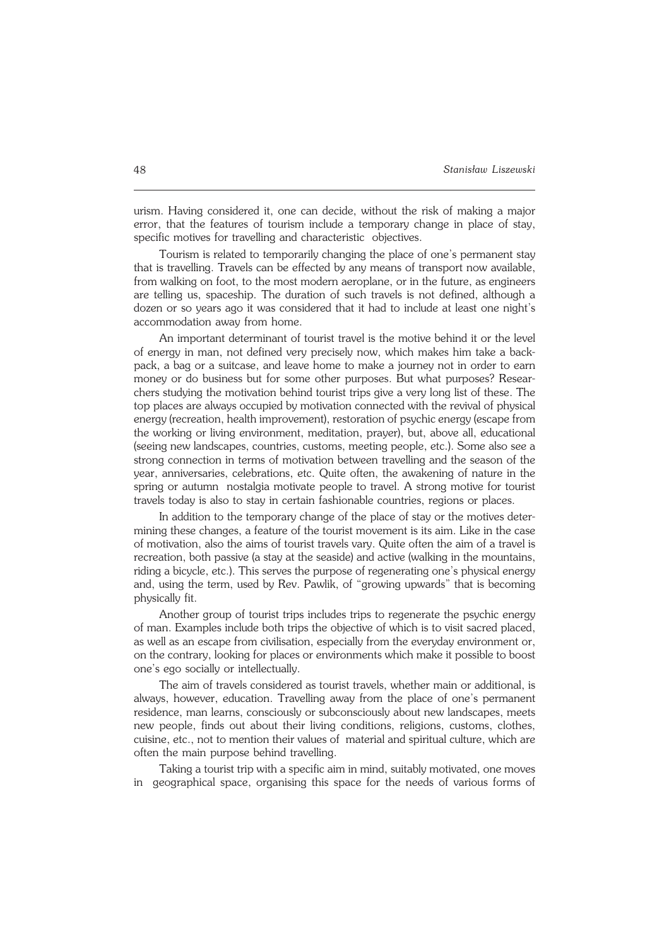urism. Having considered it, one can decide, without the risk of making a major error, that the features of tourism include a temporary change in place of stay, specific motives for travelling and characteristic objectives.

Tourism is related to temporarily changing the place of one's permanent stay that is travelling. Travels can be effected by any means of transport now available, from walking on foot, to the most modern aeroplane, or in the future, as engineers are telling us, spaceship. The duration of such travels is not defined, although a dozen or so years ago it was considered that it had to include at least one night's accommodation away from home.

An important determinant of tourist travel is the motive behind it or the level of energy in man, not defined very precisely now, which makes him take a back− pack, a bag or a suitcase, and leave home to make a journey not in order to earn money or do business but for some other purposes. But what purposes? Resear− chers studying the motivation behind tourist trips give a very long list of these. The top places are always occupied by motivation connected with the revival of physical energy (recreation, health improvement), restoration of psychic energy (escape from the working or living environment, meditation, prayer), but, above all, educational (seeing new landscapes, countries, customs, meeting people, etc.). Some also see a strong connection in terms of motivation between travelling and the season of the year, anniversaries, celebrations, etc. Quite often, the awakening of nature in the spring or autumn nostalgia motivate people to travel. A strong motive for tourist travels today is also to stay in certain fashionable countries, regions or places.

In addition to the temporary change of the place of stay or the motives deter− mining these changes, a feature of the tourist movement is its aim. Like in the case of motivation, also the aims of tourist travels vary. Quite often the aim of a travel is recreation, both passive (a stay at the seaside) and active (walking in the mountains, riding a bicycle, etc.). This serves the purpose of regenerating one's physical energy and, using the term, used by Rev. Pawlik, of "growing upwards" that is becoming physically fit.

Another group of tourist trips includes trips to regenerate the psychic energy of man. Examples include both trips the objective of which is to visit sacred placed, as well as an escape from civilisation, especially from the everyday environment or, on the contrary, looking for places or environments which make it possible to boost one's ego socially or intellectually.

The aim of travels considered as tourist travels, whether main or additional, is always, however, education. Travelling away from the place of one's permanent residence, man learns, consciously or subconsciously about new landscapes, meets new people, finds out about their living conditions, religions, customs, clothes, cuisine, etc., not to mention their values of material and spiritual culture, which are often the main purpose behind travelling.

Taking a tourist trip with a specific aim in mind, suitably motivated, one moves in geographical space, organising this space for the needs of various forms of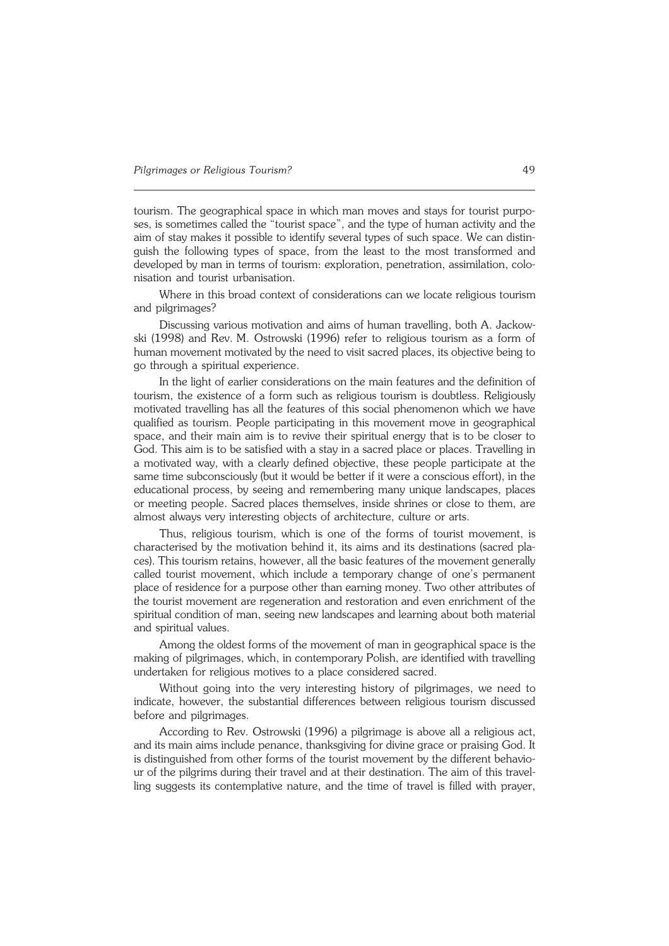tourism. The geographical space in which man moves and stays for tourist purpo− ses, is sometimes called the "tourist space", and the type of human activity and the aim of stay makes it possible to identify several types of such space. We can distin− guish the following types of space, from the least to the most transformed and developed by man in terms of tourism: exploration, penetration, assimilation, colo− nisation and tourist urbanisation.

Where in this broad context of considerations can we locate religious tourism and pilgrimages?

Discussing various motivation and aims of human travelling, both A. Jackow− ski (1998) and Rev. M. Ostrowski (1996) refer to religious tourism as a form of human movement motivated by the need to visit sacred places, its objective being to go through a spiritual experience.

In the light of earlier considerations on the main features and the definition of tourism, the existence of a form such as religious tourism is doubtless. Religiously motivated travelling has all the features of this social phenomenon which we have qualified as tourism. People participating in this movement move in geographical space, and their main aim is to revive their spiritual energy that is to be closer to God. This aim is to be satisfied with a stay in a sacred place or places. Travelling in a motivated way, with a clearly defined objective, these people participate at the same time subconsciously (but it would be better if it were a conscious effort), in the educational process, by seeing and remembering many unique landscapes, places or meeting people. Sacred places themselves, inside shrines or close to them, are almost always very interesting objects of architecture, culture or arts.

Thus, religious tourism, which is one of the forms of tourist movement, is characterised by the motivation behind it, its aims and its destinations (sacred pla− ces). This tourism retains, however, all the basic features of the movement generally called tourist movement, which include a temporary change of one's permanent place of residence for a purpose other than earning money. Two other attributes of the tourist movement are regeneration and restoration and even enrichment of the spiritual condition of man, seeing new landscapes and learning about both material and spiritual values.

Among the oldest forms of the movement of man in geographical space is the making of pilgrimages, which, in contemporary Polish, are identified with travelling undertaken for religious motives to a place considered sacred.

Without going into the very interesting history of pilgrimages, we need to indicate, however, the substantial differences between religious tourism discussed before and pilgrimages.

According to Rev. Ostrowski (1996) a pilgrimage is above all a religious act, and its main aims include penance, thanksgiving for divine grace or praising God. It is distinguished from other forms of the tourist movement by the different behavio− ur of the pilgrims during their travel and at their destination. The aim of this travel− ling suggests its contemplative nature, and the time of travel is filled with prayer,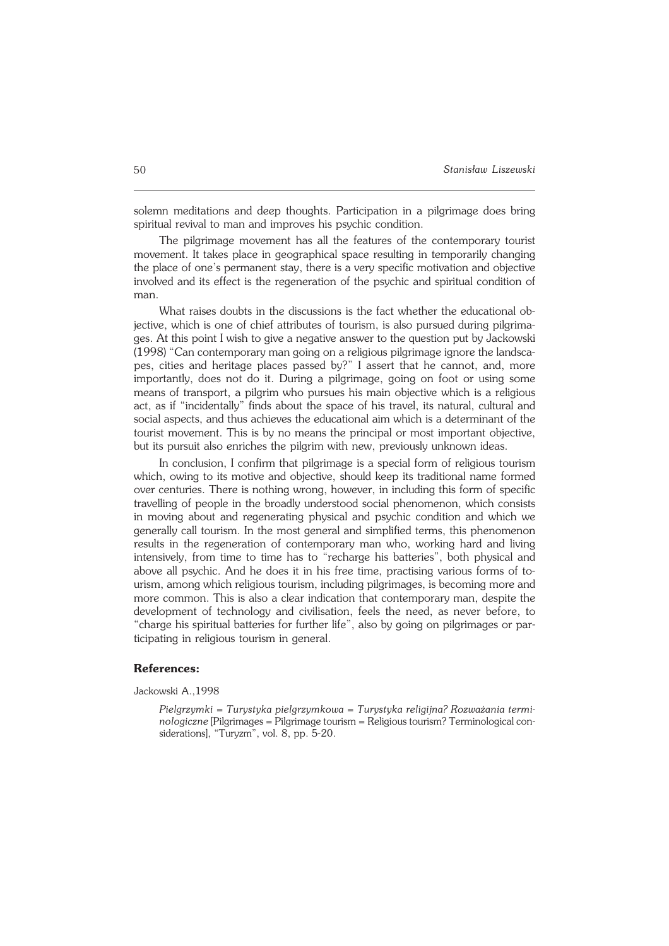solemn meditations and deep thoughts. Participation in a pilgrimage does bring spiritual revival to man and improves his psychic condition.

The pilgrimage movement has all the features of the contemporary tourist movement. It takes place in geographical space resulting in temporarily changing the place of one's permanent stay, there is a very specific motivation and objective involved and its effect is the regeneration of the psychic and spiritual condition of man.

What raises doubts in the discussions is the fact whether the educational ob− jective, which is one of chief attributes of tourism, is also pursued during pilgrima− ges. At this point I wish to give a negative answer to the question put by Jackowski (1998) "Can contemporary man going on a religious pilgrimage ignore the landsca− pes, cities and heritage places passed by?" I assert that he cannot, and, more importantly, does not do it. During a pilgrimage, going on foot or using some means of transport, a pilgrim who pursues his main objective which is a religious act, as if "incidentally" finds about the space of his travel, its natural, cultural and social aspects, and thus achieves the educational aim which is a determinant of the tourist movement. This is by no means the principal or most important objective, but its pursuit also enriches the pilgrim with new, previously unknown ideas.

In conclusion, I confirm that pilgrimage is a special form of religious tourism which, owing to its motive and objective, should keep its traditional name formed over centuries. There is nothing wrong, however, in including this form of specific travelling of people in the broadly understood social phenomenon, which consists in moving about and regenerating physical and psychic condition and which we generally call tourism. In the most general and simplified terms, this phenomenon results in the regeneration of contemporary man who, working hard and living intensively, from time to time has to "recharge his batteries", both physical and above all psychic. And he does it in his free time, practising various forms of to− urism, among which religious tourism, including pilgrimages, is becoming more and more common. This is also a clear indication that contemporary man, despite the development of technology and civilisation, feels the need, as never before, to "charge his spiritual batteries for further life", also by going on pilgrimages or par− ticipating in religious tourism in general.

## **References:**

Jackowski A.,1998

*Pielgrzymki = Turystyka pielgrzymkowa = Turystyka religijna? Rozważania termi− nologiczne* [Pilgrimages = Pilgrimage tourism = Religious tourism? Terminological con− siderations], "Turyzm", vol. 8, pp. 5−20.